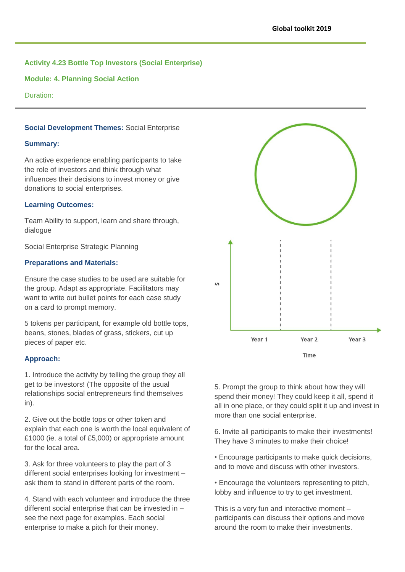# **Activity 4.23 Bottle Top Investors (Social Enterprise)**

**Module: 4. Planning Social Action**

Duration:

#### **Social Development Themes:** Social Enterprise

#### **Summary:**

An active experience enabling participants to take the role of investors and think through what influences their decisions to invest money or give donations to social enterprises.

#### **Learning Outcomes:**

Team Ability to support, learn and share through, dialogue

Social Enterprise Strategic Planning

#### **Preparations and Materials:**

Ensure the case studies to be used are suitable for the group. Adapt as appropriate. Facilitators may want to write out bullet points for each case study on a card to prompt memory.

5 tokens per participant, for example old bottle tops, beans, stones, blades of grass, stickers, cut up pieces of paper etc.

#### **Approach:**

1. Introduce the activity by telling the group they all get to be investors! (The opposite of the usual relationships social entrepreneurs find themselves in).

2. Give out the bottle tops or other token and explain that each one is worth the local equivalent of £1000 (ie. a total of £5,000) or appropriate amount for the local area.

3. Ask for three volunteers to play the part of 3 different social enterprises looking for investment – ask them to stand in different parts of the room.

4. Stand with each volunteer and introduce the three different social enterprise that can be invested in – see the next page for examples. Each social enterprise to make a pitch for their money.



5. Prompt the group to think about how they will spend their money! They could keep it all, spend it all in one place, or they could split it up and invest in more than one social enterprise.

6. Invite all participants to make their investments! They have 3 minutes to make their choice!

• Encourage participants to make quick decisions, and to move and discuss with other investors.

• Encourage the volunteers representing to pitch, lobby and influence to try to get investment.

This is a very fun and interactive moment – participants can discuss their options and move around the room to make their investments.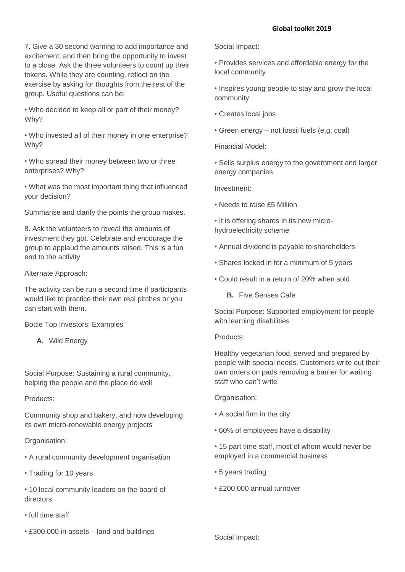7. Give a 30 second warning to add importance and excitement, and then bring the opportunity to invest to a close. Ask the three volunteers to count up their tokens. While they are counting, reflect on the exercise by asking for thoughts from the rest of the group. Useful questions can be:

• Who decided to keep all or part of their money? Why?

• Who invested all of their money in one enterprise? Why?

• Who spread their money between two or three enterprises? Why?

• What was the most important thing that influenced your decision?

Summarise and clarify the points the group makes.

8. Ask the volunteers to reveal the amounts of investment they got. Celebrate and encourage the group to applaud the amounts raised. This is a fun end to the activity.

# Alternate Approach:

The activity can be run a second time if participants would like to practice their own real pitches or you can start with them.

Bottle Top Investors: Examples

**A.** Wild Energy

Social Purpose: Sustaining a rural community, helping the people and the place do well

## Products:

Community shop and bakery, and now developing its own micro-renewable energy projects

# Organisation:

- A rural community development organisation
- Trading for 10 years
- 10 local community leaders on the board of directors
- full time staff
- £300,000 in assets land and buildings

Social Impact:

- Provides services and affordable energy for the local community
- Inspires young people to stay and grow the local community
- Creates local jobs
- Green energy not fossil fuels (e.g. coal)

Financial Model:

• Sells surplus energy to the government and larger energy companies

Investment:

- Needs to raise £5 Million
- It is offering shares in its new microhydroelectricity scheme
- Annual dividend is payable to shareholders
- Shares locked in for a minimum of 5 years
- Could result in a return of 20% when sold
	- **B.** Five Senses Cafe

Social Purpose: Supported employment for people with learning disabilities

## Products:

Healthy vegetarian food, served and prepared by people with special needs. Customers write out their own orders on pads removing a barrier for waiting staff who can't write

Organisation:

- A social firm in the city
- 60% of employees have a disability
- 15 part time staff, most of whom would never be employed in a commercial business
- 5 years trading
- £200,000 annual turnover